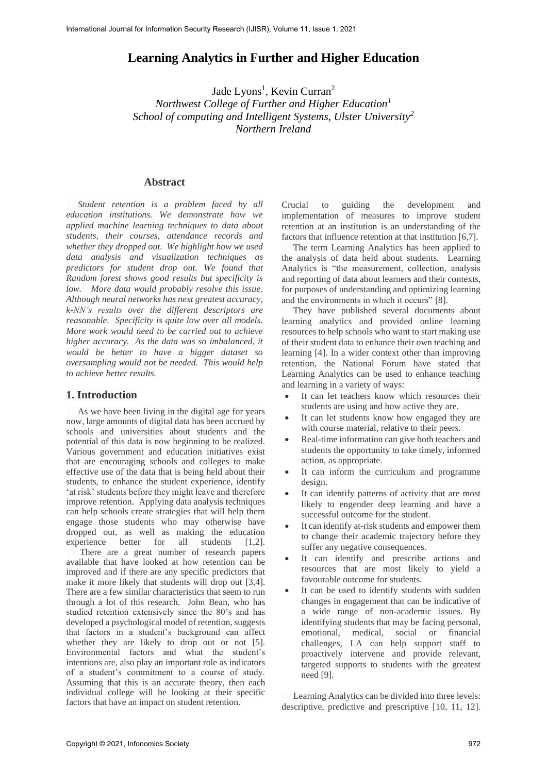# **Learning Analytics in Further and Higher Education**

Jade Lyons<sup>1</sup>, Kevin Curran<sup>2</sup>

*Northwest College of Further and Higher Education<sup>1</sup> School of computing and Intelligent Systems, Ulster University<sup>2</sup> Northern Ireland*

#### **Abstract**

 *Student retention is a problem faced by all education institutions. We demonstrate how we applied machine learning techniques to data about students, their courses, attendance records and whether they dropped out. We highlight how we used data analysis and visualization techniques as predictors for student drop out. We found that Random forest shows good results but specificity is low. More data would probably resolve this issue. Although neural networks has next greatest accuracy, k-NN's results over the different descriptors are reasonable. Specificity is quite low over all models. More work would need to be carried out to achieve higher accuracy. As the data was so imbalanced, it would be better to have a bigger dataset so oversampling would not be needed. This would help to achieve better results.*

### **1. Introduction**

As we have been living in the digital age for years now, large amounts of digital data has been accrued by schools and universities about students and the potential of this data is now beginning to be realized. Various government and education initiatives exist that are encouraging schools and colleges to make effective use of the data that is being held about their students, to enhance the student experience, identify 'at risk' students before they might leave and therefore improve retention. Applying data analysis techniques can help schools create strategies that will help them engage those students who may otherwise have dropped out, as well as making the education experience better for all students [1,2].

There are a great number of research papers available that have looked at how retention can be improved and if there are any specific predictors that make it more likely that students will drop out [3,4]. There are a few similar characteristics that seem to run through a lot of this research. John Bean, who has studied retention extensively since the 80's and has developed a psychological model of retention, suggests that factors in a student's background can affect whether they are likely to drop out or not [5]. Environmental factors and what the student's intentions are, also play an important role as indicators of a student's commitment to a course of study. Assuming that this is an accurate theory, then each individual college will be looking at their specific factors that have an impact on student retention.

Crucial to guiding the development and implementation of measures to improve student retention at an institution is an understanding of the factors that influence retention at that institution [6,7].

 The term Learning Analytics has been applied to the analysis of data held about students. Learning Analytics is "the measurement, collection, analysis and reporting of data about learners and their contexts, for purposes of understanding and optimizing learning and the environments in which it occurs" [8].

 They have published several documents about learning analytics and provided online learning resources to help schools who want to start making use of their student data to enhance their own teaching and learning [4]. In a wider context other than improving retention, the National Forum have stated that Learning Analytics can be used to enhance teaching and learning in a variety of ways:

- It can let teachers know which resources their students are using and how active they are.
- It can let students know how engaged they are with course material, relative to their peers.
- Real-time information can give both teachers and students the opportunity to take timely, informed action, as appropriate.
- It can inform the curriculum and programme design.
- It can identify patterns of activity that are most likely to engender deep learning and have a successful outcome for the student.
- It can identify at-risk students and empower them to change their academic trajectory before they suffer any negative consequences.
- It can identify and prescribe actions and resources that are most likely to yield a favourable outcome for students.
- It can be used to identify students with sudden changes in engagement that can be indicative of a wide range of non-academic issues. By identifying students that may be facing personal, emotional, medical, social or financial challenges, LA can help support staff to proactively intervene and provide relevant, targeted supports to students with the greatest need [9].

 Learning Analytics can be divided into three levels: descriptive, predictive and prescriptive [10, 11, 12].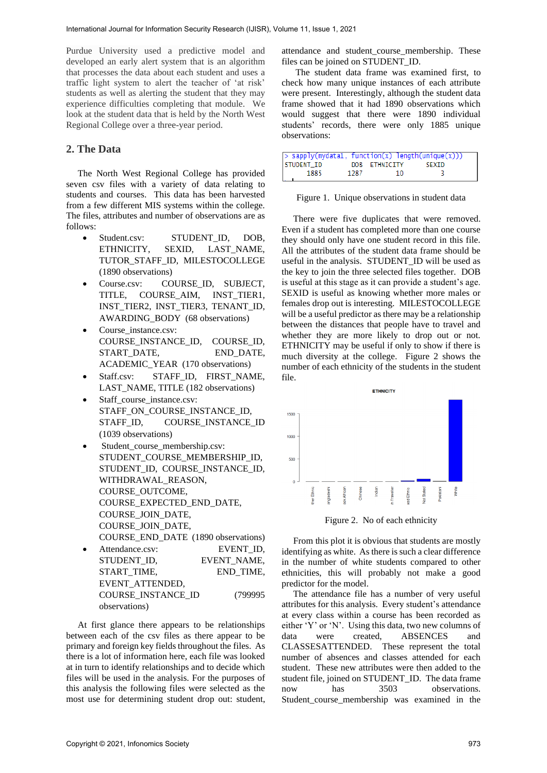Purdue University used a predictive model and developed an early alert system that is an algorithm that processes the data about each student and uses a traffic light system to alert the teacher of 'at risk' students as well as alerting the student that they may experience difficulties completing that module. We look at the student data that is held by the North West Regional College over a three-year period.

## **2. The Data**

 The North West Regional College has provided seven csv files with a variety of data relating to students and courses. This data has been harvested from a few different MIS systems within the college. The files, attributes and number of observations are as follows:

- Student.csv: STUDENT ID, DOB, ETHNICITY, SEXID, LAST\_NAME, TUTOR\_STAFF\_ID, MILESTOCOLLEGE (1890 observations)
- Course.csv: COURSE\_ID, SUBJECT, TITLE, COURSE\_AIM, INST\_TIER1, INST\_TIER2, INST\_TIER3, TENANT\_ID, AWARDING\_BODY (68 observations)
- Course instance.csv: COURSE\_INSTANCE\_ID, COURSE\_ID, START\_DATE, END\_DATE, ACADEMIC\_YEAR (170 observations)
- Staff.csv: STAFF\_ID, FIRST\_NAME, LAST\_NAME, TITLE (182 observations)
- Staff\_course\_instance.csv: STAFF\_ON\_COURSE\_INSTANCE\_ID, STAFF\_ID, COURSE\_INSTANCE\_ID (1039 observations)
- Student course membership.csv: STUDENT\_COURSE\_MEMBERSHIP\_ID, STUDENT\_ID, COURSE\_INSTANCE\_ID. WITHDRAWAL\_REASON, COURSE\_OUTCOME, COURSE\_EXPECTED\_END\_DATE, COURSE\_JOIN\_DATE, COURSE\_JOIN\_DATE, COURSE\_END\_DATE (1890 observations) Attendance.csv: EVENT ID.
- STUDENT\_ID, EVENT\_NAME, START\_TIME, END\_TIME, EVENT\_ATTENDED, COURSE\_INSTANCE\_ID (799995 observations)

 At first glance there appears to be relationships between each of the csv files as there appear to be primary and foreign key fields throughout the files. As there is a lot of information here, each file was looked at in turn to identify relationships and to decide which files will be used in the analysis. For the purposes of this analysis the following files were selected as the most use for determining student drop out: student,

attendance and student course membership. These files can be joined on STUDENT\_ID.

 The student data frame was examined first, to check how many unique instances of each attribute were present. Interestingly, although the student data frame showed that it had 1890 observations which would suggest that there were 1890 individual students' records, there were only 1885 unique observations:

| > sapply(mydata1, function(x) length(unique(x))) |      |               |       |
|--------------------------------------------------|------|---------------|-------|
| STUDENT_ID                                       |      | DOB ETHNICITY | SEXID |
| 1885                                             | 1287 | 10            | - 2   |
|                                                  |      |               |       |

|  | Figure 1. Unique observations in student data |  |
|--|-----------------------------------------------|--|
|  |                                               |  |

 There were five duplicates that were removed. Even if a student has completed more than one course they should only have one student record in this file. All the attributes of the student data frame should be useful in the analysis. STUDENT\_ID will be used as the key to join the three selected files together. DOB is useful at this stage as it can provide a student's age. SEXID is useful as knowing whether more males or females drop out is interesting. MILESTOCOLLEGE will be a useful predictor as there may be a relationship between the distances that people have to travel and whether they are more likely to drop out or not. ETHNICITY may be useful if only to show if there is much diversity at the college. Figure 2 shows the number of each ethnicity of the students in the student file.



Figure 2. No of each ethnicity

 From this plot it is obvious that students are mostly identifying as white. As there is such a clear difference in the number of white students compared to other ethnicities, this will probably not make a good predictor for the model.

 The attendance file has a number of very useful attributes for this analysis. Every student's attendance at every class within a course has been recorded as either 'Y' or 'N'. Using this data, two new columns of data were created, ABSENCES and CLASSESATTENDED. These represent the total number of absences and classes attended for each student. These new attributes were then added to the student file, joined on STUDENT\_ID. The data frame now has  $3503$  observations. Student\_course\_membership was examined in the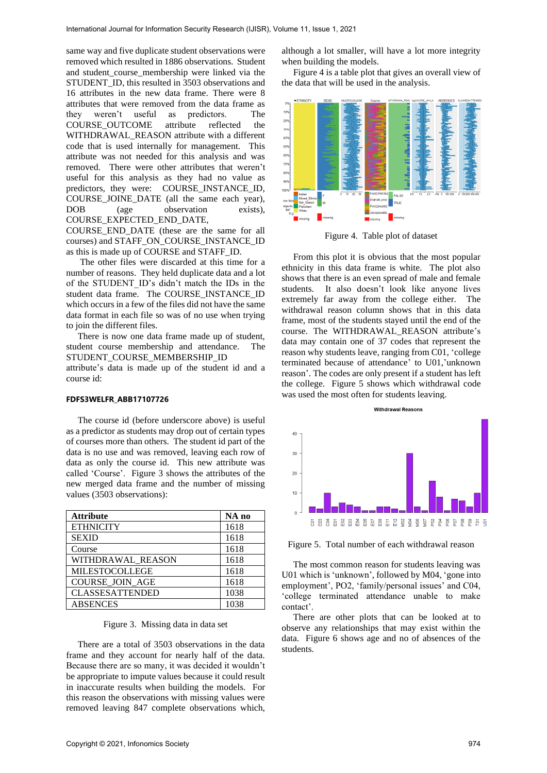same way and five duplicate student observations were removed which resulted in 1886 observations. Student and student course membership were linked via the STUDENT ID, this resulted in 3503 observations and 16 attributes in the new data frame. There were 8 attributes that were removed from the data frame as they weren't useful as predictors. The COURSE\_OUTCOME attribute reflected the WITHDRAWAL\_REASON attribute with a different code that is used internally for management. This attribute was not needed for this analysis and was removed. There were other attributes that weren't useful for this analysis as they had no value as predictors, they were: COURSE\_INSTANCE\_ID, COURSE\_JOINE\_DATE (all the same each year), DOB (age observation exists), COURSE\_EXPECTED\_END\_DATE,

COURSE\_END\_DATE (these are the same for all courses) and STAFF\_ON\_COURSE\_INSTANCE\_ID as this is made up of COURSE and STAFF\_ID.

 The other files were discarded at this time for a number of reasons. They held duplicate data and a lot of the STUDENT\_ID's didn't match the IDs in the student data frame. The COURSE\_INSTANCE\_ID which occurs in a few of the files did not have the same data format in each file so was of no use when trying to join the different files.

 There is now one data frame made up of student, student course membership and attendance. The STUDENT\_COURSE\_MEMBERSHIP\_ID

attribute's data is made up of the student id and a course id:

#### **FDFS3WELFR\_ABB17107726**

 The course id (before underscore above) is useful as a predictor as students may drop out of certain types of courses more than others. The student id part of the data is no use and was removed, leaving each row of data as only the course id. This new attribute was called 'Course'. Figure 3 shows the attributes of the new merged data frame and the number of missing values (3503 observations):

| <b>Attribute</b>       | NA no |
|------------------------|-------|
| <b>ETHNICITY</b>       | 1618  |
| <b>SEXID</b>           | 1618  |
| Course                 | 1618  |
| WITHDRAWAL REASON      | 1618  |
| <b>MILESTOCOLLEGE</b>  | 1618  |
| <b>COURSE JOIN AGE</b> | 1618  |
| <b>CLASSESATTENDED</b> | 1038  |
| <b>ABSENCES</b>        | 1038  |

#### Figure 3. Missing data in data set

 There are a total of 3503 observations in the data frame and they account for nearly half of the data. Because there are so many, it was decided it wouldn't be appropriate to impute values because it could result in inaccurate results when building the models. For this reason the observations with missing values were removed leaving 847 complete observations which,

although a lot smaller, will have a lot more integrity when building the models.

 Figure 4 is a table plot that gives an overall view of the data that will be used in the analysis.



Figure 4. Table plot of dataset

 From this plot it is obvious that the most popular ethnicity in this data frame is white. The plot also shows that there is an even spread of male and female students. It also doesn't look like anyone lives extremely far away from the college either. The withdrawal reason column shows that in this data frame, most of the students stayed until the end of the course. The WITHDRAWAL\_REASON attribute's data may contain one of 37 codes that represent the reason why students leave, ranging from C01, 'college terminated because of attendance' to U01,'unknown reason'. The codes are only present if a student has left the college. Figure 5 shows which withdrawal code was used the most often for students leaving.



Figure 5. Total number of each withdrawal reason

 The most common reason for students leaving was U01 which is 'unknown', followed by M04, 'gone into employment', PO2, 'family/personal issues' and C04, 'college terminated attendance unable to make contact'.

 There are other plots that can be looked at to observe any relationships that may exist within the data. Figure 6 shows age and no of absences of the students.